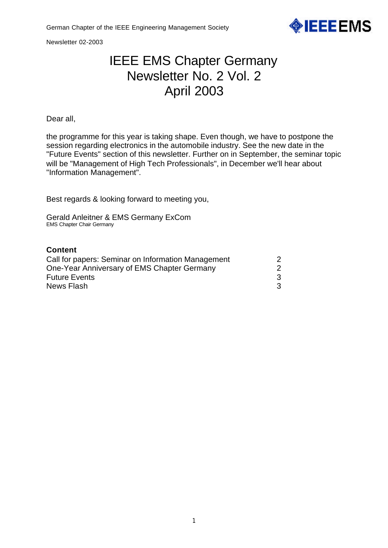

Newsletter 02-2003

# IEEE EMS Chapter Germany Newsletter No. 2 Vol. 2 April 2003

Dear all,

the programme for this year is taking shape. Even though, we have to postpone the session regarding electronics in the automobile industry. See the new date in the "Future Events" section of this newsletter. Further on in September, the seminar topic will be "Management of High Tech Professionals", in December we'll hear about "Information Management".

Best regards & looking forward to meeting you,

Gerald Anleitner & EMS Germany ExCom EMS Chapter Chair Germany

## **Content**

| Call for papers: Seminar on Information Management<br>One-Year Anniversary of EMS Chapter Germany |  |
|---------------------------------------------------------------------------------------------------|--|
|                                                                                                   |  |
| News Flash                                                                                        |  |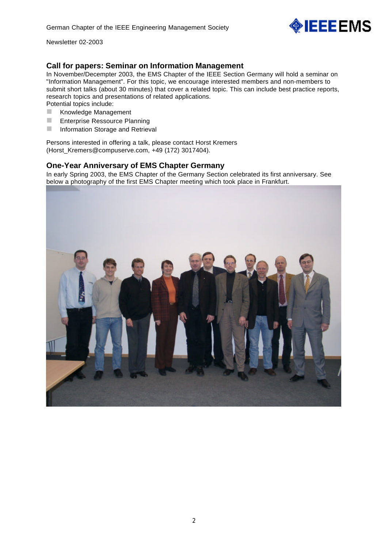

Newsletter 02-2003

## **Call for papers: Seminar on Information Management**

In November/Decempter 2003, the EMS Chapter of the IEEE Section Germany will hold a seminar on "Information Management". For this topic, we encourage interested members and non-members to submit short talks (about 30 minutes) that cover a related topic. This can include best practice reports, research topics and presentations of related applications. Potential topics include:

- Knowledge Management
- **E** Enterprise Ressource Planning
- **n** Information Storage and Retrieval

Persons interested in offering a talk, please contact Horst Kremers (Horst\_Kremers@compuserve.com, +49 (172) 3017404).

### **One-Year Anniversary of EMS Chapter Germany**

In early Spring 2003, the EMS Chapter of the Germany Section celebrated its first anniversary. See below a photography of the first EMS Chapter meeting which took place in Frankfurt.

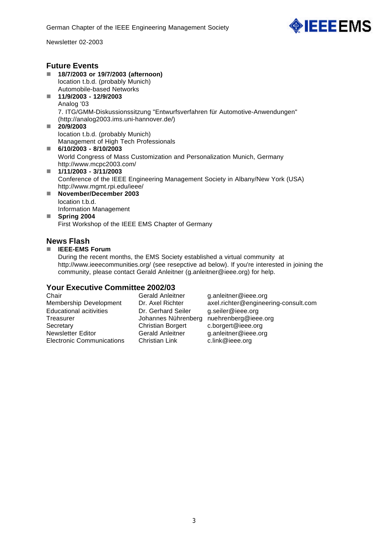

Newsletter 02-2003

#### **Future Events** ■ 18/7/2003 or 19/7/2003 (afternoon) location t.b.d. (probably Munich) Automobile-based Networks n **11/9/2003 - 12/9/2003** Analog '03 7. ITG/GMM-Diskussionssitzung "Entwurfsverfahren für Automotive-Anwendungen" (http://analog2003.ims.uni-hannover.de/) n **20/9/2003** location t.b.d. (probably Munich) Management of High Tech Professionals ■ 6/10/2003 - 8/10/2003 World Congress of Mass Customization and Personalization Munich, Germany http://www.mcpc2003.com/ ■ 1/11/2003 - 3/11/2003 Conference of the IEEE Engineering Management Society in Albany/New York (USA) http://www.mgmt.rpi.edu/ieee/ ■ November/December 2003 location t.b.d. Information Management **n** Spring 2004

First Workshop of the IEEE EMS Chapter of Germany

## **News Flash**

#### ■ **IEEE-EMS Forum**

During the recent months, the EMS Society established a virtual community at http://www.ieeecommunities.org/ (see resepctive ad below). If you're interested in joining the community, please contact Gerald Anleitner (g.anleitner@ieee.org) for help.

## **Your Executive Committee 2002/03**

Chair Gerald Anleitner g.anleitner@ieee.org Membership Development Dr. Axel Richter axel.richter@engineering-consult.com Educational acitivities Dr. Gerhard Seiler g.seiler@ieee.org Treasurer Johannes Nührenberg nuehrenberg@ieee.org Secretary Christian Borgert c.borgert@ieee.org Newsletter Editor Corald Anleitner and either @ieee.org<br>
Electronic Communications Christian Link clink@ieee.org Electronic Communications Christian Link c.link@ieee.org